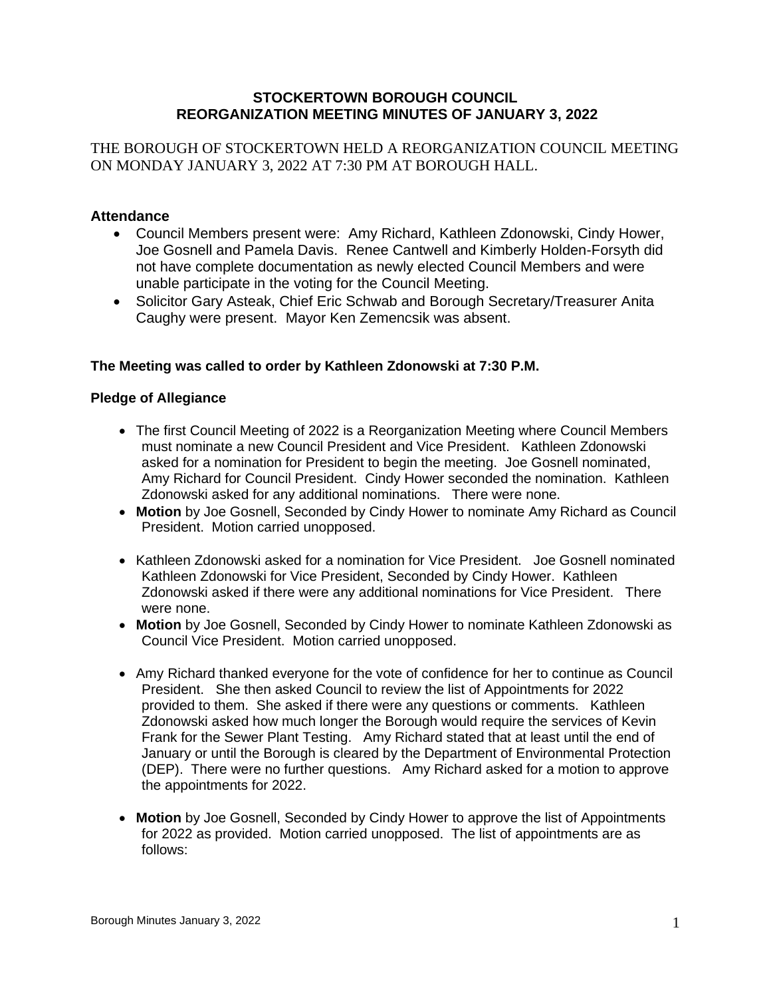### **STOCKERTOWN BOROUGH COUNCIL REORGANIZATION MEETING MINUTES OF JANUARY 3, 2022**

## THE BOROUGH OF STOCKERTOWN HELD A REORGANIZATION COUNCIL MEETING ON MONDAY JANUARY 3, 2022 AT 7:30 PM AT BOROUGH HALL.

#### **Attendance**

- Council Members present were: Amy Richard, Kathleen Zdonowski, Cindy Hower, Joe Gosnell and Pamela Davis. Renee Cantwell and Kimberly Holden-Forsyth did not have complete documentation as newly elected Council Members and were unable participate in the voting for the Council Meeting.
- Solicitor Gary Asteak, Chief Eric Schwab and Borough Secretary/Treasurer Anita Caughy were present. Mayor Ken Zemencsik was absent.

#### **The Meeting was called to order by Kathleen Zdonowski at 7:30 P.M.**

#### **Pledge of Allegiance**

- The first Council Meeting of 2022 is a Reorganization Meeting where Council Members must nominate a new Council President and Vice President. Kathleen Zdonowski asked for a nomination for President to begin the meeting. Joe Gosnell nominated, Amy Richard for Council President. Cindy Hower seconded the nomination. Kathleen Zdonowski asked for any additional nominations. There were none.
- **Motion** by Joe Gosnell, Seconded by Cindy Hower to nominate Amy Richard as Council President. Motion carried unopposed.
- Kathleen Zdonowski asked for a nomination for Vice President. Joe Gosnell nominated Kathleen Zdonowski for Vice President, Seconded by Cindy Hower. Kathleen Zdonowski asked if there were any additional nominations for Vice President. There were none.
- **Motion** by Joe Gosnell, Seconded by Cindy Hower to nominate Kathleen Zdonowski as Council Vice President. Motion carried unopposed.
- Amy Richard thanked everyone for the vote of confidence for her to continue as Council President. She then asked Council to review the list of Appointments for 2022 provided to them. She asked if there were any questions or comments. Kathleen Zdonowski asked how much longer the Borough would require the services of Kevin Frank for the Sewer Plant Testing. Amy Richard stated that at least until the end of January or until the Borough is cleared by the Department of Environmental Protection (DEP). There were no further questions. Amy Richard asked for a motion to approve the appointments for 2022.
- **Motion** by Joe Gosnell, Seconded by Cindy Hower to approve the list of Appointments for 2022 as provided. Motion carried unopposed. The list of appointments are as follows: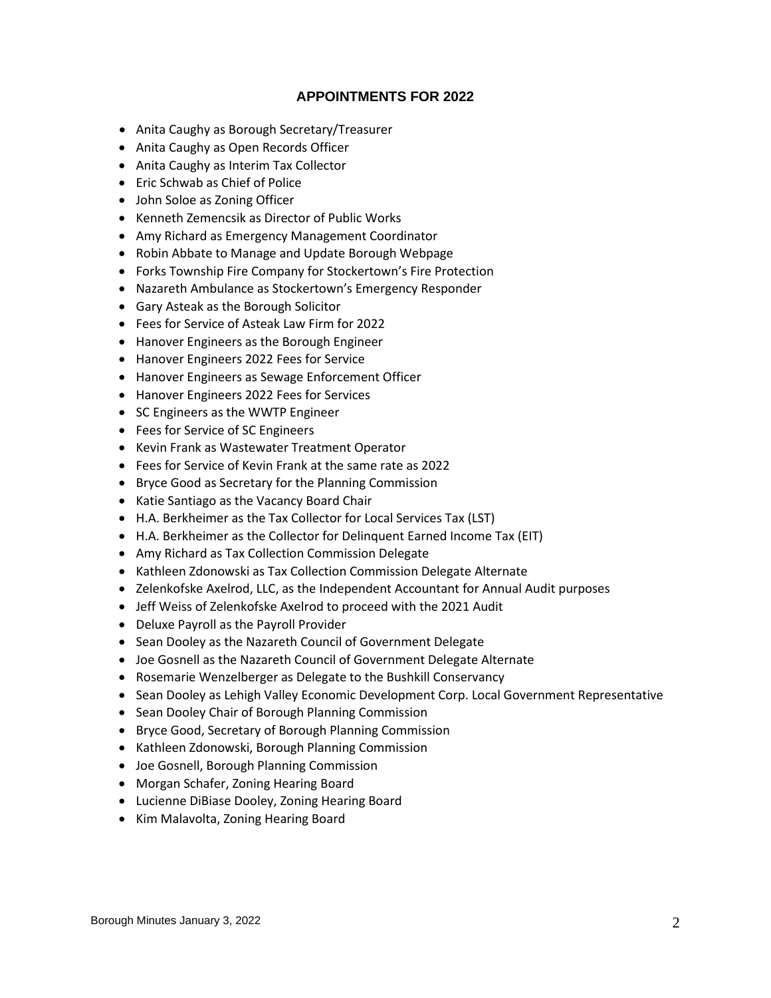## **APPOINTMENTS FOR 2022**

- Anita Caughy as Borough Secretary/Treasurer
- Anita Caughy as Open Records Officer
- Anita Caughy as Interim Tax Collector
- Eric Schwab as Chief of Police
- John Soloe as Zoning Officer
- Kenneth Zemencsik as Director of Public Works
- Amy Richard as Emergency Management Coordinator
- Robin Abbate to Manage and Update Borough Webpage
- Forks Township Fire Company for Stockertown's Fire Protection
- Nazareth Ambulance as Stockertown's Emergency Responder
- Gary Asteak as the Borough Solicitor
- Fees for Service of Asteak Law Firm for 2022
- Hanover Engineers as the Borough Engineer
- Hanover Engineers 2022 Fees for Service
- Hanover Engineers as Sewage Enforcement Officer
- Hanover Engineers 2022 Fees for Services
- SC Engineers as the WWTP Engineer
- Fees for Service of SC Engineers
- Kevin Frank as Wastewater Treatment Operator
- Fees for Service of Kevin Frank at the same rate as 2022
- Bryce Good as Secretary for the Planning Commission
- Katie Santiago as the Vacancy Board Chair
- H.A. Berkheimer as the Tax Collector for Local Services Tax (LST)
- H.A. Berkheimer as the Collector for Delinquent Earned Income Tax (EIT)
- Amy Richard as Tax Collection Commission Delegate
- Kathleen Zdonowski as Tax Collection Commission Delegate Alternate
- Zelenkofske Axelrod, LLC, as the Independent Accountant for Annual Audit purposes
- Jeff Weiss of Zelenkofske Axelrod to proceed with the 2021 Audit
- Deluxe Payroll as the Payroll Provider
- Sean Dooley as the Nazareth Council of Government Delegate
- Joe Gosnell as the Nazareth Council of Government Delegate Alternate
- Rosemarie Wenzelberger as Delegate to the Bushkill Conservancy
- Sean Dooley as Lehigh Valley Economic Development Corp. Local Government Representative
- Sean Dooley Chair of Borough Planning Commission
- Bryce Good, Secretary of Borough Planning Commission
- Kathleen Zdonowski, Borough Planning Commission
- Joe Gosnell, Borough Planning Commission
- Morgan Schafer, Zoning Hearing Board
- Lucienne DiBiase Dooley, Zoning Hearing Board
- Kim Malavolta, Zoning Hearing Board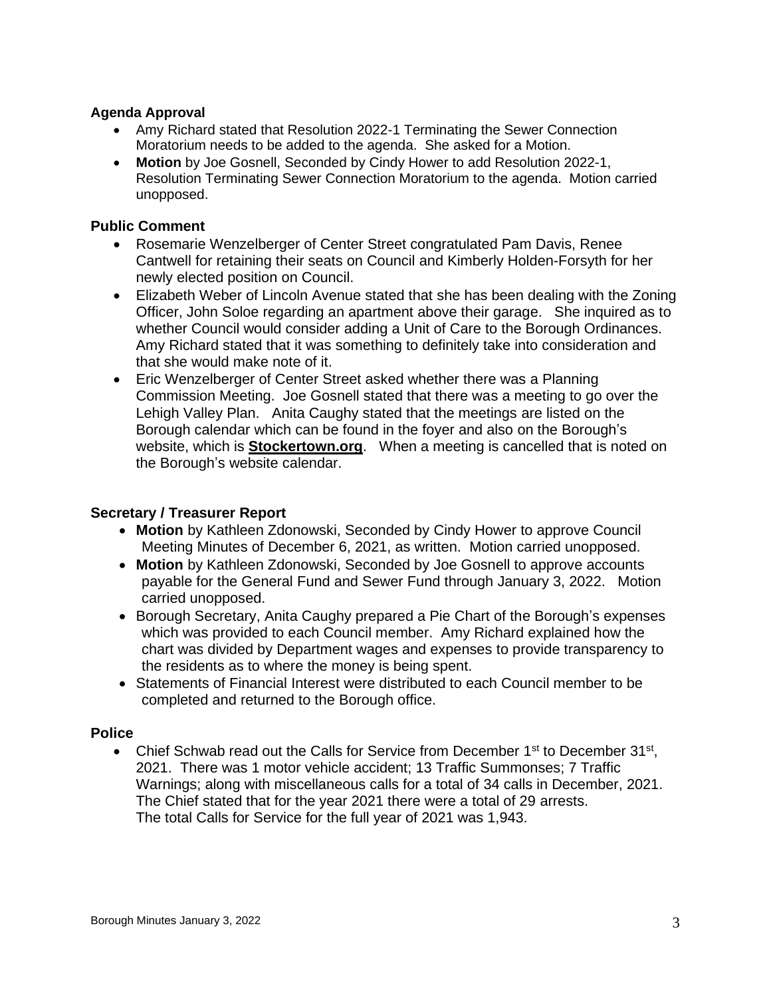#### **Agenda Approval**

- Amy Richard stated that Resolution 2022-1 Terminating the Sewer Connection Moratorium needs to be added to the agenda. She asked for a Motion.
- **Motion** by Joe Gosnell, Seconded by Cindy Hower to add Resolution 2022-1, Resolution Terminating Sewer Connection Moratorium to the agenda. Motion carried unopposed.

## **Public Comment**

- Rosemarie Wenzelberger of Center Street congratulated Pam Davis, Renee Cantwell for retaining their seats on Council and Kimberly Holden-Forsyth for her newly elected position on Council.
- Elizabeth Weber of Lincoln Avenue stated that she has been dealing with the Zoning Officer, John Soloe regarding an apartment above their garage. She inquired as to whether Council would consider adding a Unit of Care to the Borough Ordinances. Amy Richard stated that it was something to definitely take into consideration and that she would make note of it.
- Eric Wenzelberger of Center Street asked whether there was a Planning Commission Meeting. Joe Gosnell stated that there was a meeting to go over the Lehigh Valley Plan. Anita Caughy stated that the meetings are listed on the Borough calendar which can be found in the foyer and also on the Borough's website, which is **Stockertown.org**. When a meeting is cancelled that is noted on the Borough's website calendar.

# **Secretary / Treasurer Report**

- **Motion** by Kathleen Zdonowski, Seconded by Cindy Hower to approve Council Meeting Minutes of December 6, 2021, as written. Motion carried unopposed.
- **Motion** by Kathleen Zdonowski, Seconded by Joe Gosnell to approve accounts payable for the General Fund and Sewer Fund through January 3, 2022. Motion carried unopposed.
- Borough Secretary, Anita Caughy prepared a Pie Chart of the Borough's expenses which was provided to each Council member. Amy Richard explained how the chart was divided by Department wages and expenses to provide transparency to the residents as to where the money is being spent.
- Statements of Financial Interest were distributed to each Council member to be completed and returned to the Borough office.

# **Police**

• Chief Schwab read out the Calls for Service from December 1<sup>st</sup> to December 31<sup>st</sup>, 2021. There was 1 motor vehicle accident; 13 Traffic Summonses; 7 Traffic Warnings; along with miscellaneous calls for a total of 34 calls in December, 2021. The Chief stated that for the year 2021 there were a total of 29 arrests. The total Calls for Service for the full year of 2021 was 1,943.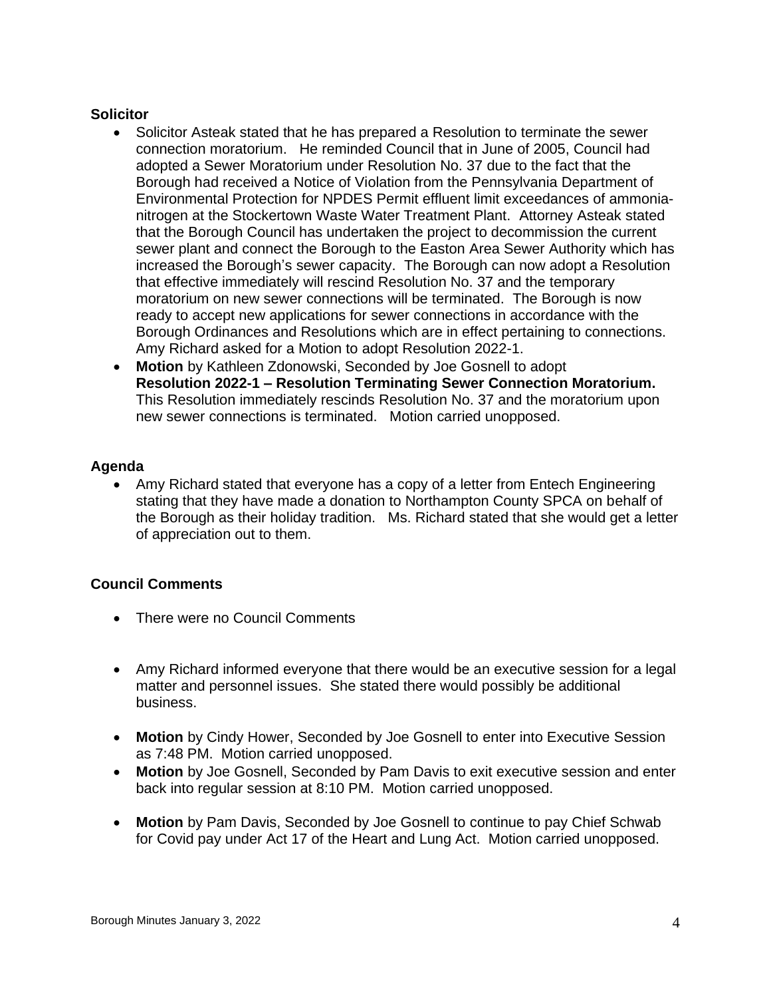### **Solicitor**

- Solicitor Asteak stated that he has prepared a Resolution to terminate the sewer connection moratorium. He reminded Council that in June of 2005, Council had adopted a Sewer Moratorium under Resolution No. 37 due to the fact that the Borough had received a Notice of Violation from the Pennsylvania Department of Environmental Protection for NPDES Permit effluent limit exceedances of ammonianitrogen at the Stockertown Waste Water Treatment Plant. Attorney Asteak stated that the Borough Council has undertaken the project to decommission the current sewer plant and connect the Borough to the Easton Area Sewer Authority which has increased the Borough's sewer capacity. The Borough can now adopt a Resolution that effective immediately will rescind Resolution No. 37 and the temporary moratorium on new sewer connections will be terminated. The Borough is now ready to accept new applications for sewer connections in accordance with the Borough Ordinances and Resolutions which are in effect pertaining to connections. Amy Richard asked for a Motion to adopt Resolution 2022-1.
- **Motion** by Kathleen Zdonowski, Seconded by Joe Gosnell to adopt **Resolution 2022-1 – Resolution Terminating Sewer Connection Moratorium.** This Resolution immediately rescinds Resolution No. 37 and the moratorium upon new sewer connections is terminated. Motion carried unopposed.

## **Agenda**

• Amy Richard stated that everyone has a copy of a letter from Entech Engineering stating that they have made a donation to Northampton County SPCA on behalf of the Borough as their holiday tradition. Ms. Richard stated that she would get a letter of appreciation out to them.

# **Council Comments**

- There were no Council Comments
- Amy Richard informed everyone that there would be an executive session for a legal matter and personnel issues. She stated there would possibly be additional business.
- **Motion** by Cindy Hower, Seconded by Joe Gosnell to enter into Executive Session as 7:48 PM. Motion carried unopposed.
- **Motion** by Joe Gosnell, Seconded by Pam Davis to exit executive session and enter back into regular session at 8:10 PM. Motion carried unopposed.
- **Motion** by Pam Davis, Seconded by Joe Gosnell to continue to pay Chief Schwab for Covid pay under Act 17 of the Heart and Lung Act. Motion carried unopposed.